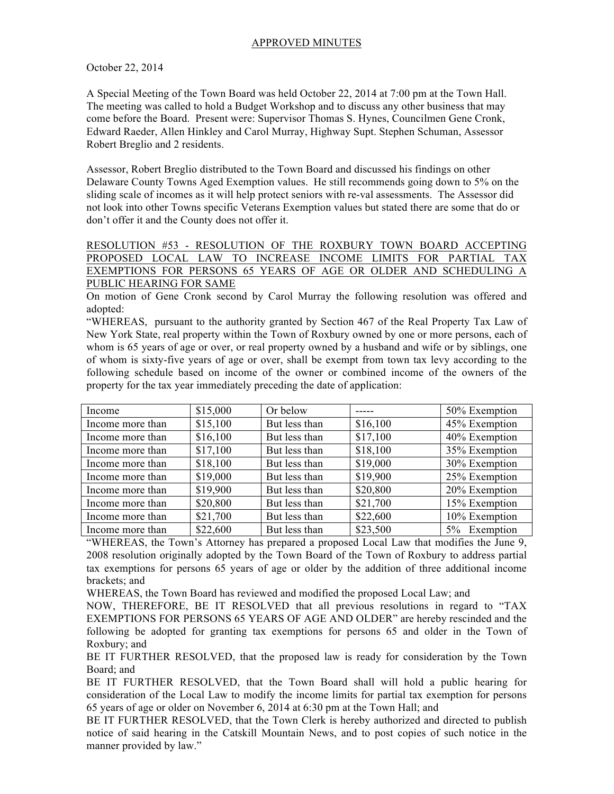## APPROVED MINUTES

## October 22, 2014

A Special Meeting of the Town Board was held October 22, 2014 at 7:00 pm at the Town Hall. The meeting was called to hold a Budget Workshop and to discuss any other business that may come before the Board. Present were: Supervisor Thomas S. Hynes, Councilmen Gene Cronk, Edward Raeder, Allen Hinkley and Carol Murray, Highway Supt. Stephen Schuman, Assessor Robert Breglio and 2 residents.

Assessor, Robert Breglio distributed to the Town Board and discussed his findings on other Delaware County Towns Aged Exemption values. He still recommends going down to 5% on the sliding scale of incomes as it will help protect seniors with re-val assessments. The Assessor did not look into other Towns specific Veterans Exemption values but stated there are some that do or don't offer it and the County does not offer it.

RESOLUTION #53 - RESOLUTION OF THE ROXBURY TOWN BOARD ACCEPTING PROPOSED LOCAL LAW TO INCREASE INCOME LIMITS FOR PARTIAL TAX EXEMPTIONS FOR PERSONS 65 YEARS OF AGE OR OLDER AND SCHEDULING A PUBLIC HEARING FOR SAME

On motion of Gene Cronk second by Carol Murray the following resolution was offered and adopted:

"WHEREAS, pursuant to the authority granted by Section 467 of the Real Property Tax Law of New York State, real property within the Town of Roxbury owned by one or more persons, each of whom is 65 years of age or over, or real property owned by a husband and wife or by siblings, one of whom is sixty-five years of age or over, shall be exempt from town tax levy according to the following schedule based on income of the owner or combined income of the owners of the property for the tax year immediately preceding the date of application:

| Income           | \$15,000 | Or below      |          | 50% Exemption |
|------------------|----------|---------------|----------|---------------|
| Income more than | \$15,100 | But less than | \$16,100 | 45% Exemption |
| Income more than | \$16,100 | But less than | \$17,100 | 40% Exemption |
| Income more than | \$17,100 | But less than | \$18,100 | 35% Exemption |
| Income more than | \$18,100 | But less than | \$19,000 | 30% Exemption |
| Income more than | \$19,000 | But less than | \$19,900 | 25% Exemption |
| Income more than | \$19,900 | But less than | \$20,800 | 20% Exemption |
| Income more than | \$20,800 | But less than | \$21,700 | 15% Exemption |
| Income more than | \$21,700 | But less than | \$22,600 | 10% Exemption |
| Income more than | \$22,600 | But less than | \$23,500 | 5% Exemption  |

"WHEREAS, the Town's Attorney has prepared a proposed Local Law that modifies the June 9, 2008 resolution originally adopted by the Town Board of the Town of Roxbury to address partial tax exemptions for persons 65 years of age or older by the addition of three additional income brackets; and

WHEREAS, the Town Board has reviewed and modified the proposed Local Law; and

NOW, THEREFORE, BE IT RESOLVED that all previous resolutions in regard to "TAX EXEMPTIONS FOR PERSONS 65 YEARS OF AGE AND OLDER" are hereby rescinded and the following be adopted for granting tax exemptions for persons 65 and older in the Town of Roxbury; and

BE IT FURTHER RESOLVED, that the proposed law is ready for consideration by the Town Board; and

BE IT FURTHER RESOLVED, that the Town Board shall will hold a public hearing for consideration of the Local Law to modify the income limits for partial tax exemption for persons 65 years of age or older on November 6, 2014 at 6:30 pm at the Town Hall; and

BE IT FURTHER RESOLVED, that the Town Clerk is hereby authorized and directed to publish notice of said hearing in the Catskill Mountain News, and to post copies of such notice in the manner provided by law."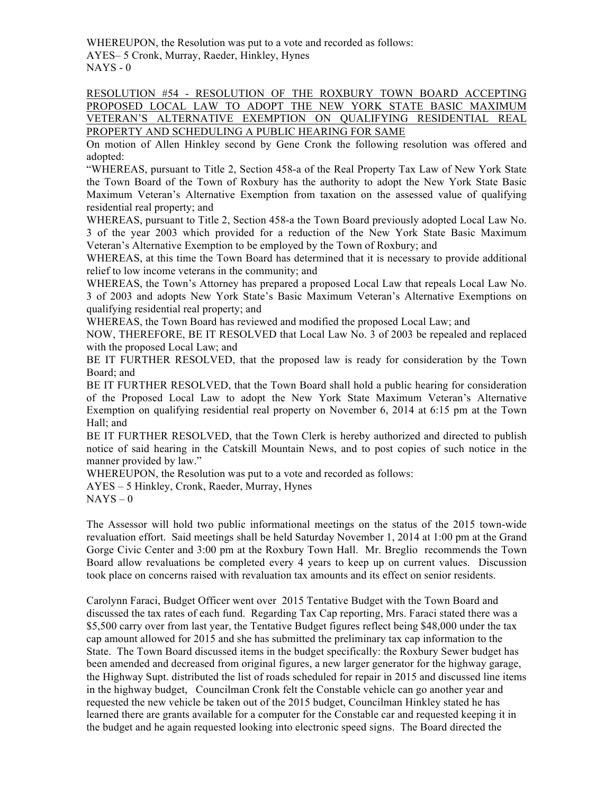WHEREUPON, the Resolution was put to a vote and recorded as follows: AYES– 5 Cronk, Murray, Raeder, Hinkley, Hynes  $NAYS - 0$ 

RESOLUTION #54 - RESOLUTION OF THE ROXBURY TOWN BOARD ACCEPTING PROPOSED LOCAL LAW TO ADOPT THE NEW YORK STATE BASIC MAXIMUM VETERAN'S ALTERNATIVE EXEMPTION ON QUALIFYING RESIDENTIAL REAL PROPERTY AND SCHEDULING A PUBLIC HEARING FOR SAME

On motion of Allen Hinkley second by Gene Cronk the following resolution was offered and adopted:

"WHEREAS, pursuant to Title 2, Section 458-a of the Real Property Tax Law of New York State the Town Board of the Town of Roxbury has the authority to adopt the New York State Basic Maximum Veteran's Alternative Exemption from taxation on the assessed value of qualifying residential real property; and

WHEREAS, pursuant to Title 2, Section 458-a the Town Board previously adopted Local Law No. 3 of the year 2003 which provided for a reduction of the New York State Basic Maximum Veteran's Alternative Exemption to be employed by the Town of Roxbury; and

WHEREAS, at this time the Town Board has determined that it is necessary to provide additional relief to low income veterans in the community; and

WHEREAS, the Town's Attorney has prepared a proposed Local Law that repeals Local Law No. 3 of 2003 and adopts New York State's Basic Maximum Veteran's Alternative Exemptions on qualifying residential real property; and

WHEREAS, the Town Board has reviewed and modified the proposed Local Law; and

NOW, THEREFORE, BE IT RESOLVED that Local Law No. 3 of 2003 be repealed and replaced with the proposed Local Law; and

BE IT FURTHER RESOLVED, that the proposed law is ready for consideration by the Town Board; and

BE IT FURTHER RESOLVED, that the Town Board shall hold a public hearing for consideration of the Proposed Local Law to adopt the New York State Maximum Veteran's Alternative Exemption on qualifying residential real property on November 6, 2014 at 6:15 pm at the Town Hall; and

BE IT FURTHER RESOLVED, that the Town Clerk is hereby authorized and directed to publish notice of said hearing in the Catskill Mountain News, and to post copies of such notice in the manner provided by law."

WHEREUPON, the Resolution was put to a vote and recorded as follows:

AYES – 5 Hinkley, Cronk, Raeder, Murray, Hynes

 $NAYS - 0$ 

The Assessor will hold two public informational meetings on the status of the 2015 town-wide revaluation effort. Said meetings shall be held Saturday November 1, 2014 at 1:00 pm at the Grand Gorge Civic Center and 3:00 pm at the Roxbury Town Hall. Mr. Breglio recommends the Town Board allow revaluations be completed every 4 years to keep up on current values. Discussion took place on concerns raised with revaluation tax amounts and its effect on senior residents.

Carolynn Faraci, Budget Officer went over 2015 Tentative Budget with the Town Board and discussed the tax rates of each fund. Regarding Tax Cap reporting, Mrs. Faraci stated there was a \$5,500 carry over from last year, the Tentative Budget figures reflect being \$48,000 under the tax cap amount allowed for 2015 and she has submitted the preliminary tax cap information to the State. The Town Board discussed items in the budget specifically: the Roxbury Sewer budget has been amended and decreased from original figures, a new larger generator for the highway garage, the Highway Supt. distributed the list of roads scheduled for repair in 2015 and discussed line items in the highway budget, Councilman Cronk felt the Constable vehicle can go another year and requested the new vehicle be taken out of the 2015 budget, Councilman Hinkley stated he has learned there are grants available for a computer for the Constable car and requested keeping it in the budget and he again requested looking into electronic speed signs. The Board directed the